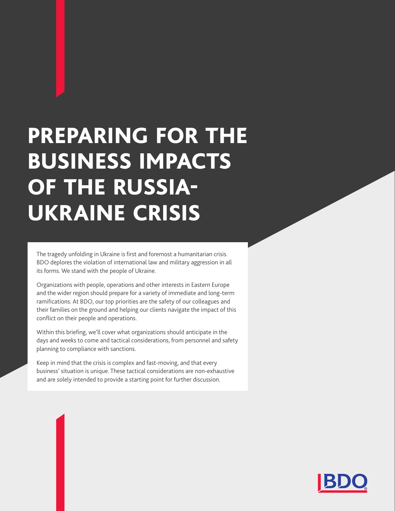# PREPARING FOR THE BUSINESS IMPACTS OF THE RUSSIA-UKRAINE CRISIS

The tragedy unfolding in Ukraine is first and foremost a humanitarian crisis. BDO deplores the violation of international law and military aggression in all its forms. We stand with the people of Ukraine.

Organizations with people, operations and other interests in Eastern Europe and the wider region should prepare for a variety of immediate and long-term ramifications. At BDO, our top priorities are the safety of our colleagues and their families on the ground and helping our clients navigate the impact of this conflict on their people and operations.

Within this briefing, we'll cover what organizations should anticipate in the days and weeks to come and tactical considerations, from personnel and safety planning to compliance with sanctions.

Keep in mind that the crisis is complex and fast-moving, and that every business' situation is unique. These tactical considerations are non-exhaustive and are solely intended to provide a starting point for further discussion.

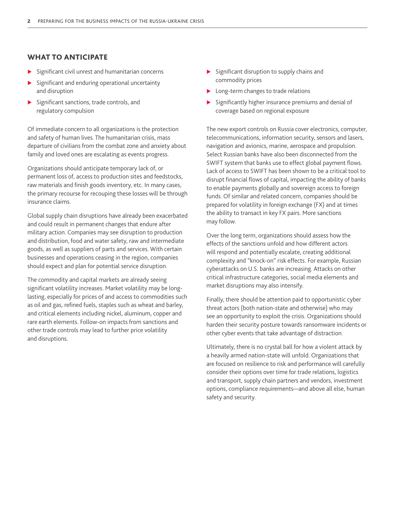## WHAT TO ANTICIPATE

- $\triangleright$  Significant civil unrest and humanitarian concerns
- Significant and enduring operational uncertainty and disruption
- $\blacktriangleright$  Significant sanctions, trade controls, and regulatory compulsion

Of immediate concern to all organizations is the protection and safety of human lives. The humanitarian crisis, mass departure of civilians from the combat zone and anxiety about family and loved ones are escalating as events progress.

Organizations should anticipate temporary lack of, or permanent loss of, access to production sites and feedstocks, raw materials and finish goods inventory, etc. In many cases, the primary recourse for recouping these losses will be through insurance claims.

Global supply chain disruptions have already been exacerbated and could result in permanent changes that endure after military action. Companies may see disruption to production and distribution, food and water safety, raw and intermediate goods, as well as suppliers of parts and services. With certain businesses and operations ceasing in the region, companies should expect and plan for potential service disruption.

The commodity and capital markets are already seeing significant volatility increases. Market volatility may be longlasting, especially for prices of and access to commodities such as oil and gas, refined fuels, staples such as wheat and barley, and critical elements including nickel, aluminum, copper and rare earth elements. Follow-on impacts from sanctions and other trade controls may lead to further price volatility and disruptions.

- $\triangleright$  Significant disruption to supply chains and commodity prices
- $\blacktriangleright$  Long-term changes to trade relations
- $\triangleright$  Significantly higher insurance premiums and denial of coverage based on regional exposure

The new export controls on Russia cover electronics, computer, telecommunications, information security, sensors and lasers, navigation and avionics, marine, aerospace and propulsion. Select Russian banks have also been disconnected from the SWIFT system that banks use to effect global payment flows. Lack of access to SWIFT has been shown to be a critical tool to disrupt financial flows of capital, impacting the ability of banks to enable payments globally and sovereign access to foreign funds. Of similar and related concern, companies should be prepared for volatility in foreign exchange (FX) and at times the ability to transact in key FX pairs. More sanctions may follow.

Over the long term, organizations should assess how the effects of the sanctions unfold and how different actors will respond and potentially escalate, creating additional complexity and "knock-on" risk effects. For example, Russian cyberattacks on U.S. banks are increasing. Attacks on other critical infrastructure categories, social media elements and market disruptions may also intensify.

Finally, there should be attention paid to opportunistic cyber threat actors (both nation-state and otherwise) who may see an opportunity to exploit the crisis. Organizations should harden their security posture towards ransomware incidents or other cyber events that take advantage of distraction.

Ultimately, there is no crystal ball for how a violent attack by a heavily armed nation-state will unfold. Organizations that are focused on resilience to risk and performance will carefully consider their options over time for trade relations, logistics and transport, supply chain partners and vendors, investment options, compliance requirements—and above all else, human safety and security.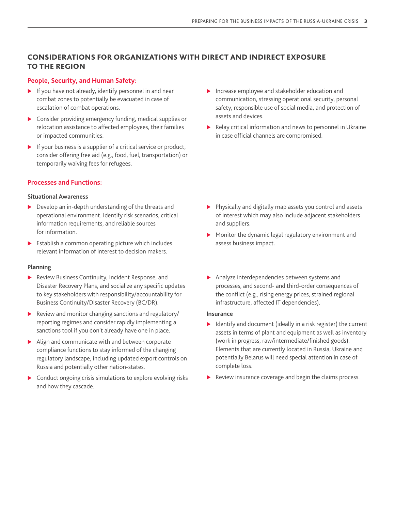## CONSIDERATIONS FOR ORGANIZATIONS WITH DIRECT AND INDIRECT EXPOSURE TO THE REGION

#### **People, Security, and Human Safety:**

- $\blacktriangleright$  If you have not already, identify personnel in and near combat zones to potentially be evacuated in case of escalation of combat operations.
- $\triangleright$  Consider providing emergency funding, medical supplies or relocation assistance to affected employees, their families or impacted communities.
- $\blacktriangleright$  If your business is a supplier of a critical service or product, consider offering free aid (e.g., food, fuel, transportation) or temporarily waiving fees for refugees.

#### **Processes and Functions:**

#### **Situational Awareness**

- $\triangleright$  Develop an in-depth understanding of the threats and operational environment. Identify risk scenarios, critical information requirements, and reliable sources for information.
- $\triangleright$  Establish a common operating picture which includes relevant information of interest to decision makers.

#### **Planning**

- $\blacktriangleright$  Review Business Continuity, Incident Response, and Disaster Recovery Plans, and socialize any specific updates to key stakeholders with responsibility/accountability for Business Continuity/Disaster Recovery (BC/DR).
- $\blacktriangleright$  Review and monitor changing sanctions and regulatory/ reporting regimes and consider rapidly implementing a sanctions tool if you don't already have one in place.
- $\blacktriangleright$  Align and communicate with and between corporate compliance functions to stay informed of the changing regulatory landscape, including updated export controls on Russia and potentially other nation-states.
- $\triangleright$  Conduct ongoing crisis simulations to explore evolving risks and how they cascade.
- $\blacktriangleright$  Increase employee and stakeholder education and communication, stressing operational security, personal safety, responsible use of social media, and protection of assets and devices.
- $\blacktriangleright$  Relay critical information and news to personnel in Ukraine in case official channels are compromised.

- $\blacktriangleright$  Physically and digitally map assets you control and assets of interest which may also include adjacent stakeholders and suppliers.
- $\blacktriangleright$  Monitor the dynamic legal regulatory environment and assess business impact.
- $\blacktriangleright$  Analyze interdependencies between systems and processes, and second- and third-order consequences of the conflict (e.g., rising energy prices, strained regional infrastructure, affected IT dependencies).

#### **Insurance**

- $\blacktriangleright$  Identify and document (ideally in a risk register) the current assets in terms of plant and equipment as well as inventory (work in progress, raw/intermediate/finished goods). Elements that are currently located in Russia, Ukraine and potentially Belarus will need special attention in case of complete loss.
- Review insurance coverage and begin the claims process.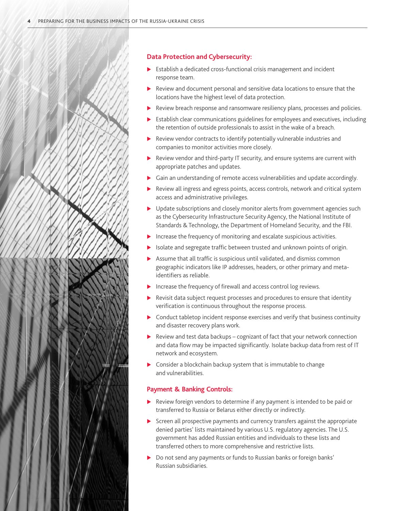#### **Data Protection and Cybersecurity:**

- $\blacktriangleright$  Establish a dedicated cross-functional crisis management and incident response team.
- Review and document personal and sensitive data locations to ensure that the locations have the highest level of data protection.
- Review breach response and ransomware resiliency plans, processes and policies.
- $\blacktriangleright$  Establish clear communications guidelines for employees and executives, including the retention of outside professionals to assist in the wake of a breach.
- $\blacktriangleright$  Review vendor contracts to identify potentially vulnerable industries and companies to monitor activities more closely.
- $\blacktriangleright$  Review vendor and third-party IT security, and ensure systems are current with appropriate patches and updates.
- $\triangleright$  Gain an understanding of remote access vulnerabilities and update accordingly.
- Review all ingress and egress points, access controls, network and critical system access and administrative privileges.
- $\blacktriangleright$  Update subscriptions and closely monitor alerts from government agencies such as the Cybersecurity Infrastructure Security Agency, the National Institute of Standards & Technology, the Department of Homeland Security, and the FBI.
- Increase the frequency of monitoring and escalate suspicious activities.
- Isolate and segregate traffic between trusted and unknown points of origin.
- Assume that all traffic is suspicious until validated, and dismiss common geographic indicators like IP addresses, headers, or other primary and metaidentifiers as reliable.
- $\blacktriangleright$  Increase the frequency of firewall and access control log reviews.
- Revisit data subject request processes and procedures to ensure that identity verification is continuous throughout the response process.
- $\triangleright$  Conduct tabletop incident response exercises and verify that business continuity and disaster recovery plans work.
- $\blacktriangleright$  Review and test data backups cognizant of fact that your network connection and data flow may be impacted significantly. Isolate backup data from rest of IT network and ecosystem.
- $\triangleright$  Consider a blockchain backup system that is immutable to change and vulnerabilities.

#### **Payment & Banking Controls:**

- $\blacktriangleright$  Review foreign vendors to determine if any payment is intended to be paid or transferred to Russia or Belarus either directly or indirectly.
- Screen all prospective payments and currency transfers against the appropriate denied parties' lists maintained by various U.S. regulatory agencies. The U.S. government has added Russian entities and individuals to these lists and transferred others to more comprehensive and restrictive lists.
- Do not send any payments or funds to Russian banks or foreign banks' Russian subsidiaries.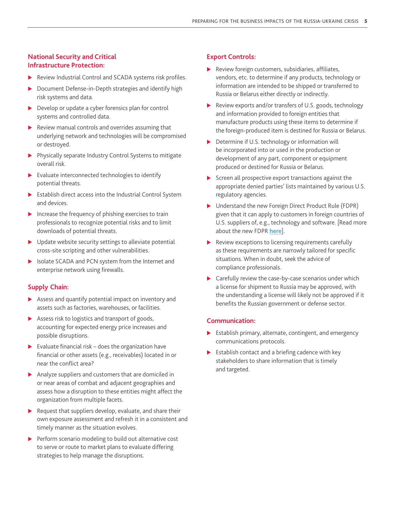### **National Security and Critical Infrastructure Protection:**

- Review Industrial Control and SCADA systems risk profiles.
- ▶ Document Defense-in-Depth strategies and identify high risk systems and data.
- $\triangleright$  Develop or update a cyber forensics plan for control systems and controlled data.
- $\blacktriangleright$  Review manual controls and overrides assuming that underlying network and technologies will be compromised or destroyed.
- $\blacktriangleright$  Physically separate Industry Control Systems to mitigate overall risk.
- $\blacktriangleright$  Evaluate interconnected technologies to identify potential threats.
- $\blacktriangleright$  Establish direct access into the Industrial Control System and devices.
- $\blacktriangleright$  Increase the frequency of phishing exercises to train professionals to recognize potential risks and to limit downloads of potential threats.
- $\blacktriangleright$  Update website security settings to alleviate potential cross-site scripting and other vulnerabilities.
- SIM Isolate SCADA and PCN system from the Internet and enterprise network using firewalls.

#### **Supply Chain:**

- $\triangleright$  Assess and quantify potential impact on inventory and assets such as factories, warehouses, or facilities.
- $\triangleright$  Assess risk to logistics and transport of goods, accounting for expected energy price increases and possible disruptions.
- $\blacktriangleright$  Evaluate financial risk does the organization have financial or other assets (e.g., receivables) located in or near the conflict area?
- $\blacktriangleright$  Analyze suppliers and customers that are domiciled in or near areas of combat and adjacent geographies and assess how a disruption to these entities might affect the organization from multiple facets.
- $\blacktriangleright$  Request that suppliers develop, evaluate, and share their own exposure assessment and refresh it in a consistent and timely manner as the situation evolves.
- $\blacktriangleright$  Perform scenario modeling to build out alternative cost to serve or route to market plans to evaluate differing strategies to help manage the disruptions.

#### **Export Controls:**

- $\blacktriangleright$  Review foreign customers, subsidiaries, affiliates, vendors, etc. to determine if any products, technology or information are intended to be shipped or transferred to Russia or Belarus either directly or indirectly.
- $\blacktriangleright$  Review exports and/or transfers of U.S. goods, technology and information provided to foreign entities that manufacture products using these items to determine if the foreign-produced item is destined for Russia or Belarus.
- $\triangleright$  Determine if U.S. technology or information will be incorporated into or used in the production or development of any part, component or equipment produced or destined for Russia or Belarus.
- $\triangleright$  Screen all prospective export transactions against the appropriate denied parties' lists maintained by various U.S. regulatory agencies.
- M Understand the new Foreign Direct Product Rule (FDPR) given that it can apply to customers in foreign countries of U.S. suppliers of, e.g., technology and software. [Read more about the new FDPR **[here](https://www.bdo.com/insights/tax/international-tax/restrictions-on-export-of-tech-products-to-russia)**].
- $\blacktriangleright$  Review exceptions to licensing requirements carefully as these requirements are narrowly tailored for specific situations. When in doubt, seek the advice of compliance professionals.
- $\triangleright$  Carefully review the case-by-case scenarios under which a license for shipment to Russia may be approved, with the understanding a license will likely not be approved if it benefits the Russian government or defense sector.

#### **Communication:**

- $\blacktriangleright$  Establish primary, alternate, contingent, and emergency communications protocols.
- $\blacktriangleright$  Establish contact and a briefing cadence with key stakeholders to share information that is timely and targeted.